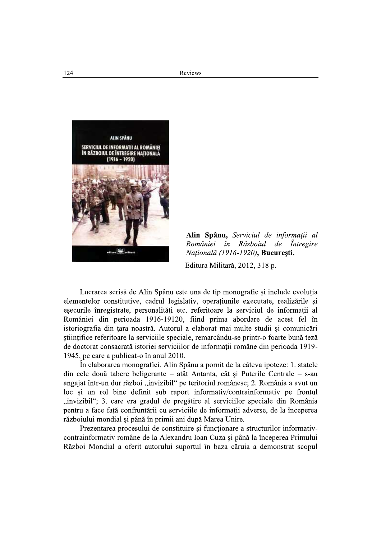

Alin Spânu, Serviciul de informații al României în Războiul de Întregire Națională (1916-1920), București,

Editura Militară, 2012, 318 p.

Lucrarea scrisă de Alin Spânu este una de tip monografic și include evoluția elementelor constitutive, cadrul legislativ, operațiunile executate, realizările și esecurile înregistrate, personalități etc. referitoare la serviciul de informații al României din perioada 1916-19120, fiind prima abordare de acest fel în istoriografia din tara noastră. Autorul a elaborat mai multe studii si comunicări științifice referitoare la serviciile speciale, remarcându-se printr-o foarte bună teză de doctorat consacrată istoriei serviciilor de informații române din perioada 1919-1945, pe care a publicat-o în anul 2010.

În elaborarea monografiei, Alin Spânu a pornit de la câteva ipoteze: 1. statele din cele două tabere beligerante - atât Antanta, cât și Puterile Centrale - s-au angajat într-un dur război "invizibil" pe teritoriul românesc; 2. România a avut un loc si un rol bine definit sub raport informativ/contrainformativ pe frontul "invizibil"; 3. care era gradul de pregătire al serviciilor speciale din România pentru a face față confruntării cu serviciile de informații adverse, de la începerea războiului mondial și până în primii ani după Marea Unire.

Prezentarea procesului de constituire și funcționare a structurilor informativcontrainformativ române de la Alexandru Ioan Cuza și până la începerea Primului Război Mondial a oferit autorului suportul în baza căruia a demonstrat scopul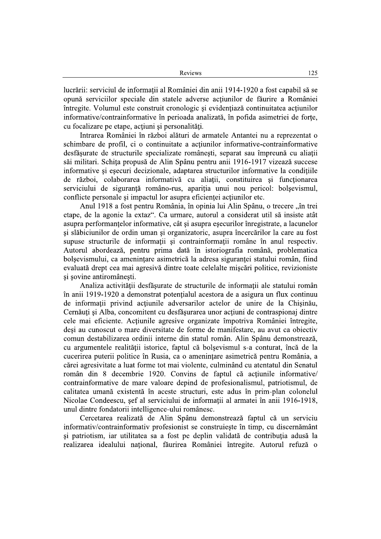lucrării: serviciul de informații al României din anii 1914-1920 a fost capabil să se opună serviciilor speciale din statele adverse acțiunilor de făurire a României întregite. Volumul este construit cronologic și evidențiază continuitatea actiunilor informative/contrainformative în perioada analizată, în pofida asimetriei de forțe, cu focalizare pe etape, acțiuni și personalități.

Intrarea României în război alături de armatele Antantei nu a reprezentat o schimbare de profil, ci o continuitate a actiunilor informative-contrainformative desfăsurate de structurile specializate românesti, separat sau împreună cu aliații săi militari. Schița propusă de Alin Spânu pentru anii 1916-1917 vizează succese informative și eșecuri decizionale, adaptarea structurilor informative la condițiile de război, colaborarea informativă cu aliatii, constituirea și functionarea serviciului de siguranță româno-rus, apariția unui nou pericol: bolșevismul, conflicte personale și impactul lor asupra eficienței acțiunilor etc.

Anul 1918 a fost pentru România, în opinia lui Alin Spânu, o trecere "în trei etape, de la agonie la extaz". Ca urmare, autorul a considerat util să insiste atât asupra performantelor informative, cât și asupra eșecurilor înregistrate, a lacunelor și slăbiciunilor de ordin uman și organizatoric, asupra încercărilor la care au fost supuse structurile de informații și contrainformații române în anul respectiv. Autorul abordează, pentru prima dată în istoriografia română, problematica bolsevismului, ca amenintare asimetrică la adresa siguranței statului român, fiind evaluată drept cea mai agresivă dintre toate celelalte mișcări politice, revizioniste și sovine antiromânești.

Analiza activității desfășurate de structurile de informații ale statului român în anii 1919-1920 a demonstrat potențialul acestora de a asigura un flux continuu de informații privind acțiunile adversarilor actelor de unire de la Chisinău, Cernăuti și Alba, concomitent cu desfăsurarea unor actiuni de contraspionaj dintre cele mai eficiente. Acțiunile agresive organizate împotriva României întregite, desi au cunoscut o mare diversitate de forme de manifestare, au avut ca obiectiv comun destabilizarea ordinii interne din statul român. Alin Spânu demonstrează, cu argumentele realității istorice, faptul că bolșevismul s-a conturat, încă de la cucerirea puterii politice în Rusia, ca o amenințare asimetrică pentru România, a cărei agresivitate a luat forme tot mai violente, culminând cu atentatul din Senatul român din 8 decembrie 1920. Convins de faptul că acțiunile informative/ contrainformative de mare valoare depind de profesionalismul, patriotismul, de calitatea umană existentă în aceste structuri, este adus în prim-plan colonelul Nicolae Condeescu, șef al serviciului de informații al armatei în anii 1916-1918, unul dintre fondatorii intelligence-ului românesc.

Cercetarea realizată de Alin Spânu demonstrează faptul că un serviciu informativ/contrainformativ profesionist se construiește în timp, cu discernământ și patriotism, iar utilitatea sa a fost pe deplin validată de contribuția adusă la realizarea idealului național, făurirea României întregite. Autorul refuză o